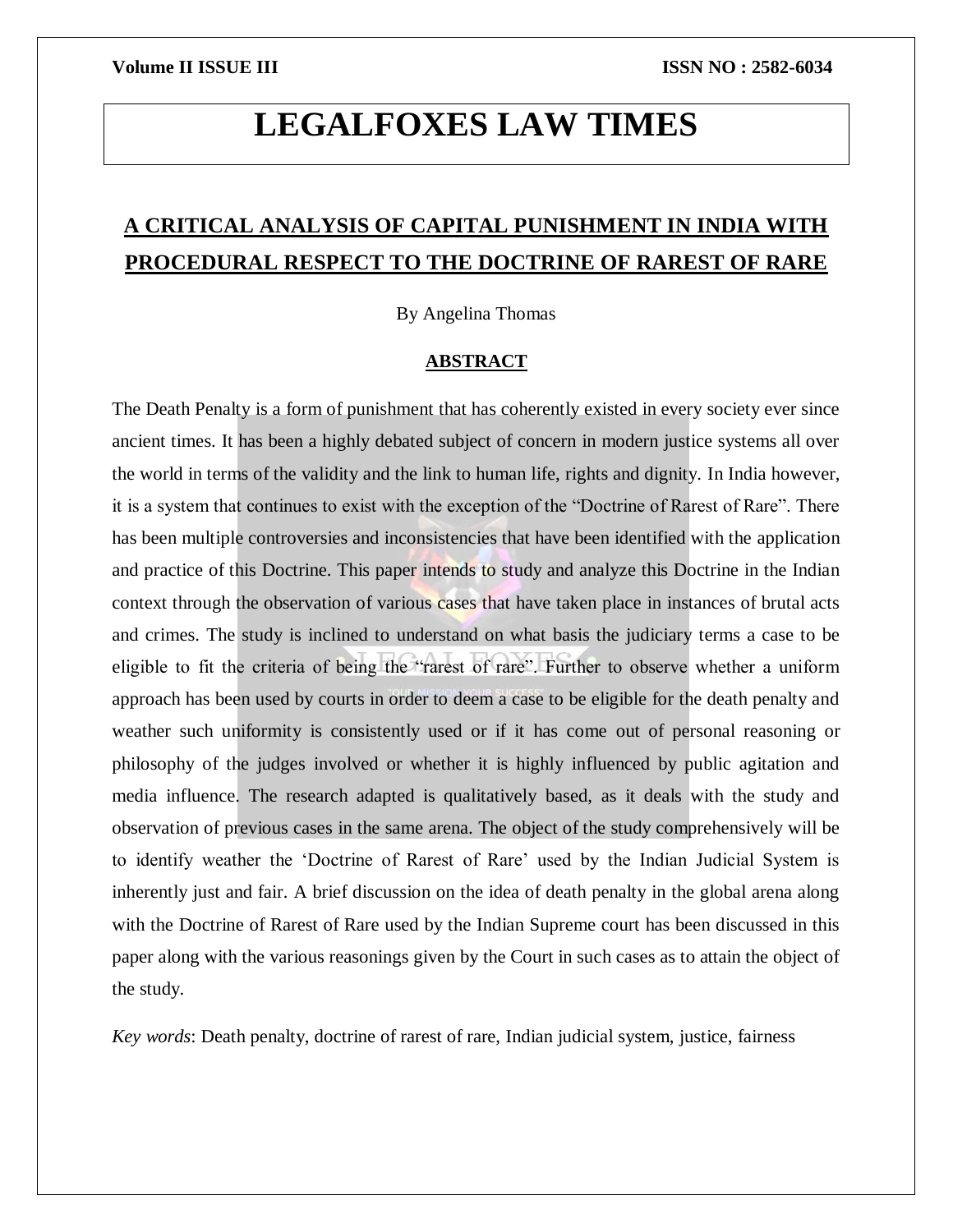# **LEGALFOXES LAW TIMES**

# **A CRITICAL ANALYSIS OF CAPITAL PUNISHMENT IN INDIA WITH PROCEDURAL RESPECT TO THE DOCTRINE OF RAREST OF RARE**

By Angelina Thomas

# **ABSTRACT**

The Death Penalty is a form of punishment that has coherently existed in every society ever since ancient times. It has been a highly debated subject of concern in modern justice systems all over the world in terms of the validity and the link to human life, rights and dignity. In India however, it is a system that continues to exist with the exception of the "Doctrine of Rarest of Rare". There has been multiple controversies and inconsistencies that have been identified with the application and practice of this Doctrine. This paper intends to study and analyze this Doctrine in the Indian context through the observation of various cases that have taken place in instances of brutal acts and crimes. The study is inclined to understand on what basis the judiciary terms a case to be eligible to fit the criteria of being the "rarest of rare". Further to observe whether a uniform approach has been used by courts in order to deem a case to be eligible for the death penalty and weather such uniformity is consistently used or if it has come out of personal reasoning or philosophy of the judges involved or whether it is highly influenced by public agitation and media influence. The research adapted is qualitatively based, as it deals with the study and observation of previous cases in the same arena. The object of the study comprehensively will be to identify weather the 'Doctrine of Rarest of Rare' used by the Indian Judicial System is inherently just and fair. A brief discussion on the idea of death penalty in the global arena along with the Doctrine of Rarest of Rare used by the Indian Supreme court has been discussed in this paper along with the various reasonings given by the Court in such cases as to attain the object of the study.

*Key words*: Death penalty, doctrine of rarest of rare, Indian judicial system, justice, fairness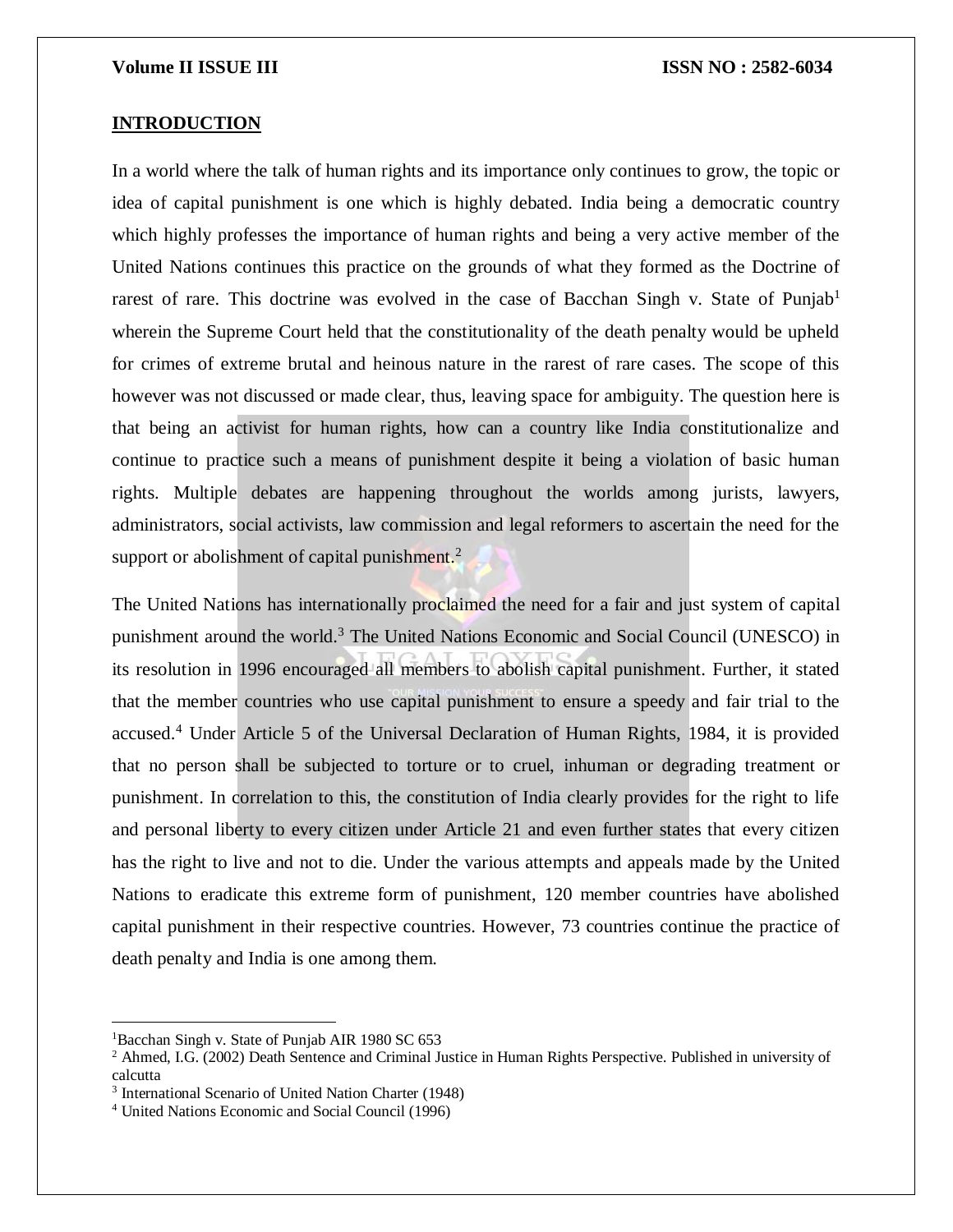### **INTRODUCTION**

In a world where the talk of human rights and its importance only continues to grow, the topic or idea of capital punishment is one which is highly debated. India being a democratic country which highly professes the importance of human rights and being a very active member of the United Nations continues this practice on the grounds of what they formed as the Doctrine of rarest of rare. This doctrine was evolved in the case of Bacchan Singh v. State of Punjab<sup>1</sup> wherein the Supreme Court held that the constitutionality of the death penalty would be upheld for crimes of extreme brutal and heinous nature in the rarest of rare cases. The scope of this however was not discussed or made clear, thus, leaving space for ambiguity. The question here is that being an activist for human rights, how can a country like India constitutionalize and continue to practice such a means of punishment despite it being a violation of basic human rights. Multiple debates are happening throughout the worlds among jurists, lawyers, administrators, social activists, law commission and legal reformers to ascertain the need for the support or abolishment of capital punishment. $^2$ 

The United Nations has internationally proclaimed the need for a fair and just system of capital punishment around the world.<sup>3</sup> The United Nations Economic and Social Council (UNESCO) in its resolution in 1996 encouraged all members to abolish capital punishment. Further, it stated that the member countries who use capital punishment to ensure a speedy and fair trial to the accused.<sup>4</sup> Under Article 5 of the Universal Declaration of Human Rights, 1984, it is provided that no person shall be subjected to torture or to cruel, inhuman or degrading treatment or punishment. In correlation to this, the constitution of India clearly provides for the right to life and personal liberty to every citizen under Article 21 and even further states that every citizen has the right to live and not to die. Under the various attempts and appeals made by the United Nations to eradicate this extreme form of punishment, 120 member countries have abolished capital punishment in their respective countries. However, 73 countries continue the practice of death penalty and India is one among them.

<sup>&</sup>lt;sup>1</sup>Bacchan Singh v. State of Punjab AIR 1980 SC 653

 $2$  Ahmed, I.G. (2002) Death Sentence and Criminal Justice in Human Rights Perspective. Published in university of calcutta

<sup>3</sup> International Scenario of United Nation Charter (1948)

<sup>4</sup> United Nations Economic and Social Council (1996)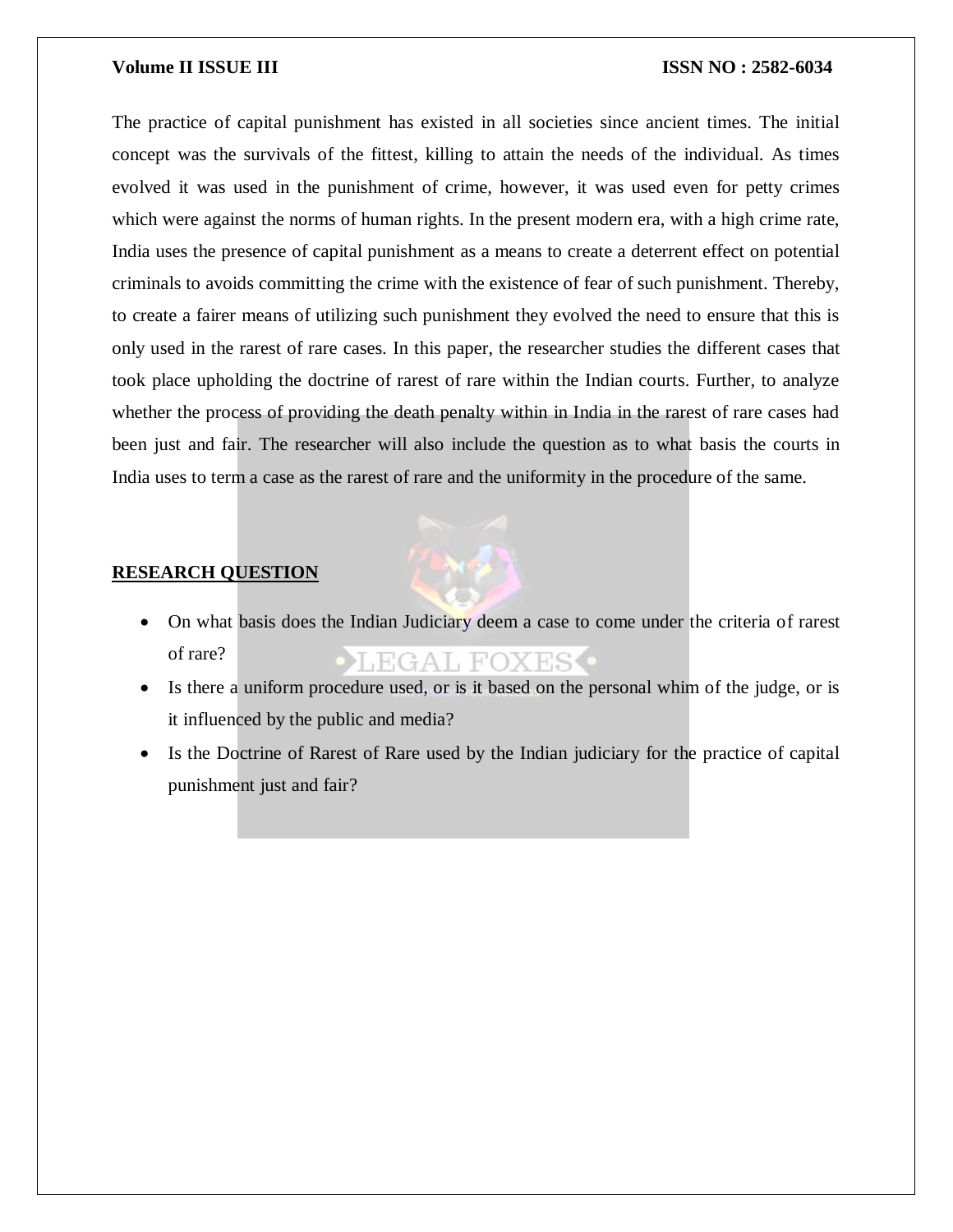The practice of capital punishment has existed in all societies since ancient times. The initial concept was the survivals of the fittest, killing to attain the needs of the individual. As times evolved it was used in the punishment of crime, however, it was used even for petty crimes which were against the norms of human rights. In the present modern era, with a high crime rate, India uses the presence of capital punishment as a means to create a deterrent effect on potential criminals to avoids committing the crime with the existence of fear of such punishment. Thereby, to create a fairer means of utilizing such punishment they evolved the need to ensure that this is only used in the rarest of rare cases. In this paper, the researcher studies the different cases that took place upholding the doctrine of rarest of rare within the Indian courts. Further, to analyze whether the process of providing the death penalty within in India in the rarest of rare cases had been just and fair. The researcher will also include the question as to what basis the courts in India uses to term a case as the rarest of rare and the uniformity in the procedure of the same.

# **RESEARCH QUESTION**

- On what basis does the Indian Judiciary deem a case to come under the criteria of rarest of rare? EGAL FOXES.
- Is there a uniform procedure used, or is it based on the personal whim of the judge, or is it influenced by the public and media?
- Is the Doctrine of Rarest of Rare used by the Indian judiciary for the practice of capital punishment just and fair?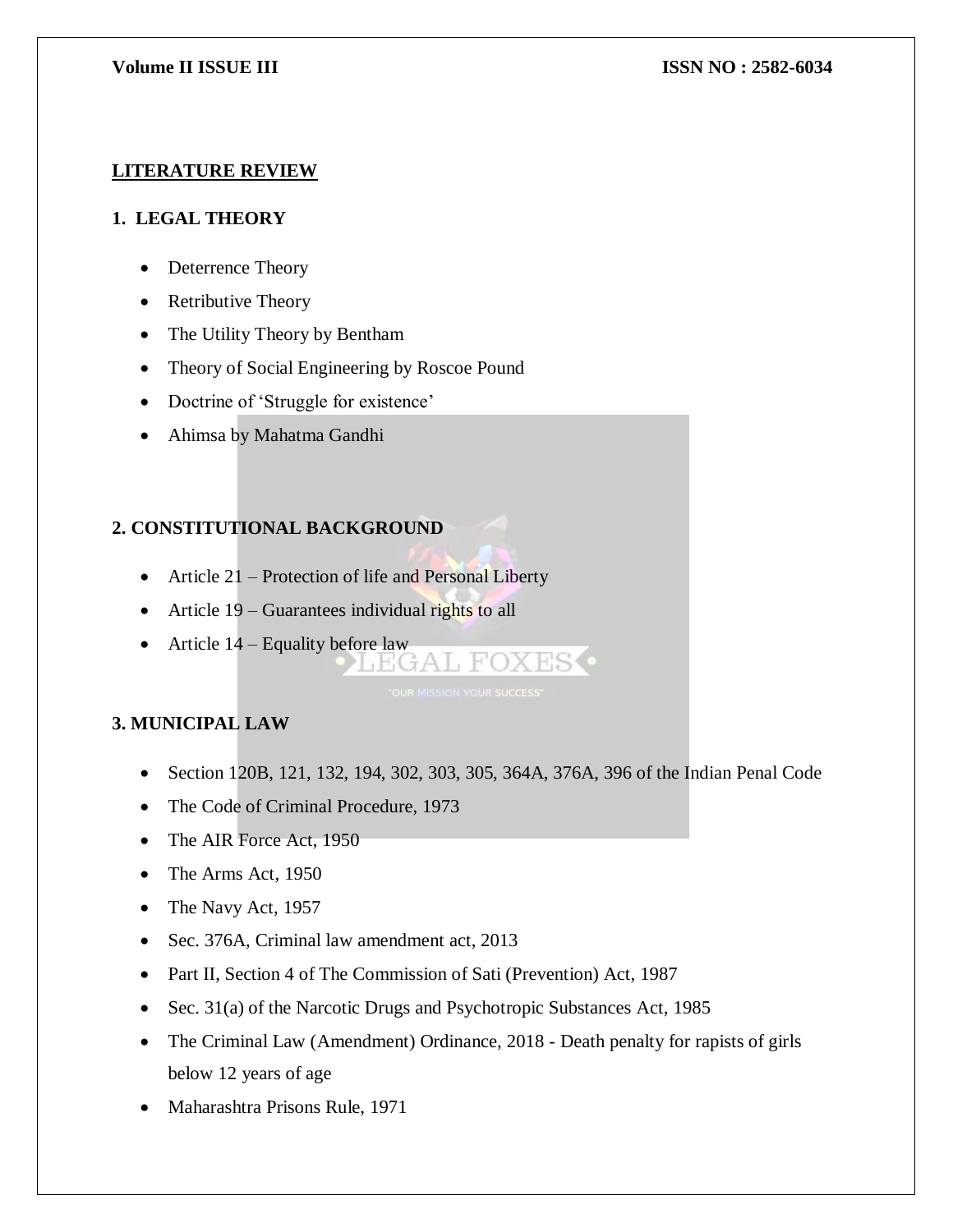# **LITERATURE REVIEW**

# **1. LEGAL THEORY**

- Deterrence Theory
- Retributive Theory
- The Utility Theory by Bentham
- Theory of Social Engineering by Roscoe Pound
- Doctrine of 'Struggle for existence'
- Ahimsa by Mahatma Gandhi

# **2. CONSTITUTIONAL BACKGROUND**

- Article 21 Protection of life and Personal Liberty
- Article 19 Guarantees individual rights to all
- Article  $14$  Equality before law<br> $\begin{array}{c} \bigcup_{A} \mathbb{F}(\mathbb{G} A \cup \mathbb{F} \cap X \times \mathbb{F}) \end{array}$

# **3. MUNICIPAL LAW**

- Section 120B, 121, 132, 194, 302, 303, 305, 364A, 376A, 396 of the Indian Penal Code
- The Code of Criminal Procedure, 1973
- The AIR Force Act, 1950
- The Arms Act, 1950
- The Navy Act, 1957
- Sec. 376A, Criminal law amendment act, 2013
- Part II, Section 4 of The Commission of Sati (Prevention) Act, 1987
- Sec. 31(a) of the Narcotic Drugs and Psychotropic Substances Act, 1985
- The Criminal Law (Amendment) Ordinance, 2018 Death penalty for rapists of girls below 12 years of age
- Maharashtra Prisons Rule, 1971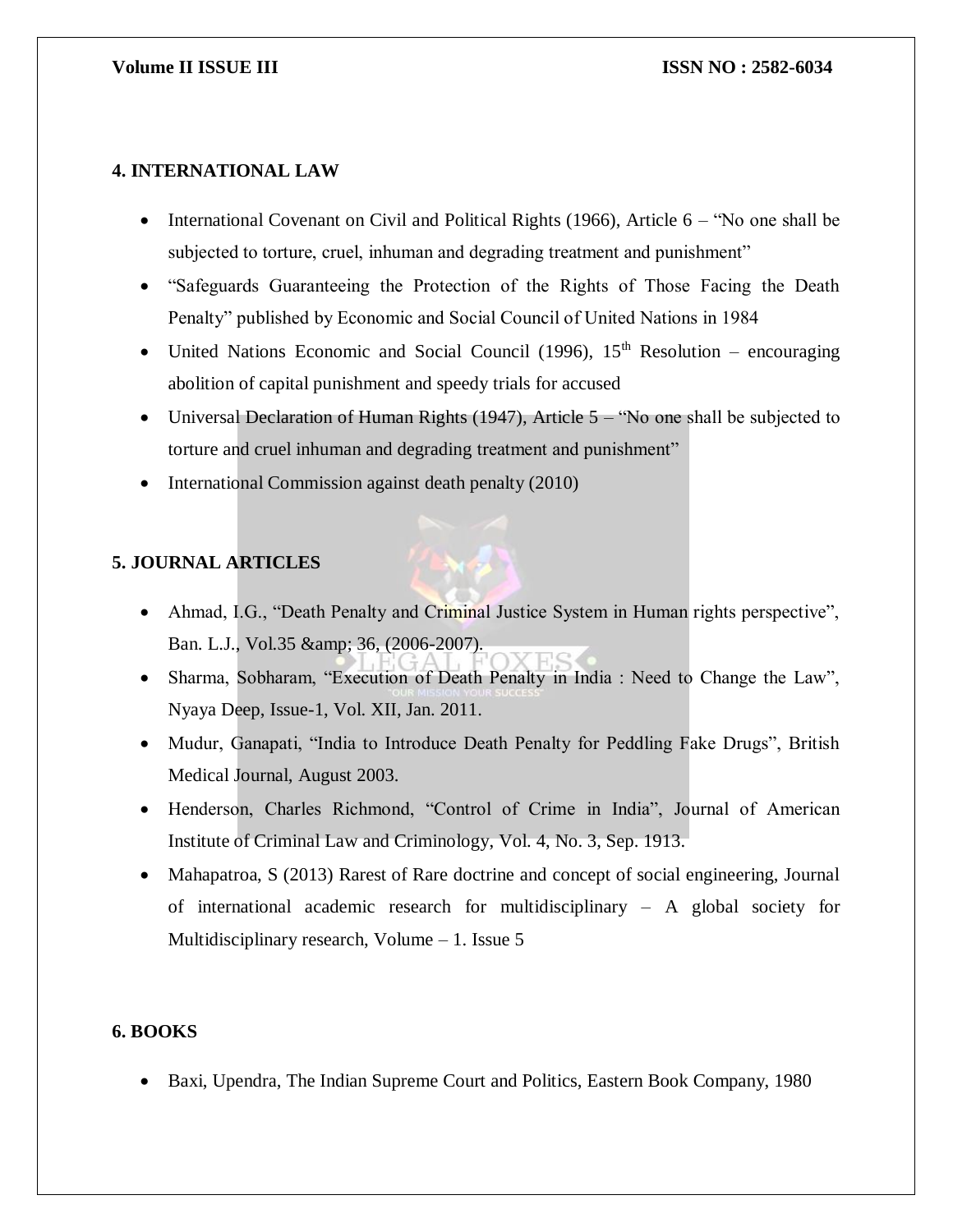# **4. INTERNATIONAL LAW**

- International Covenant on Civil and Political Rights (1966), Article  $6 -$  "No one shall be subjected to torture, cruel, inhuman and degrading treatment and punishment"
- "Safeguards Guaranteeing the Protection of the Rights of Those Facing the Death Penalty" published by Economic and Social Council of United Nations in 1984
- United Nations Economic and Social Council (1996),  $15<sup>th</sup>$  Resolution encouraging abolition of capital punishment and speedy trials for accused
- Universal Declaration of Human Rights (1947), Article  $5 -$  "No one shall be subjected to torture and cruel inhuman and degrading treatment and punishment"
- International Commission against death penalty (2010)

# **5. JOURNAL ARTICLES**

- Ahmad, I.G., "Death Penalty and Criminal Justice System in Human rights perspective", Ban. L.J., Vol.35 & amp; 36, (2006-2007).
- Sharma, Sobharam, "Execution of Death Penalty in India : Need to Change the Law", Nyaya Deep, Issue-1, Vol. XII, Jan. 2011.
- Mudur, Ganapati, "India to Introduce Death Penalty for Peddling Fake Drugs", British Medical Journal, August 2003.
- Henderson, Charles Richmond, "Control of Crime in India", Journal of American Institute of Criminal Law and Criminology, Vol. 4, No. 3, Sep. 1913.
- Mahapatroa, S (2013) Rarest of Rare doctrine and concept of social engineering, Journal of international academic research for multidisciplinary – A global society for Multidisciplinary research, Volume – 1. Issue 5

### **6. BOOKS**

Baxi, Upendra, The Indian Supreme Court and Politics, Eastern Book Company, 1980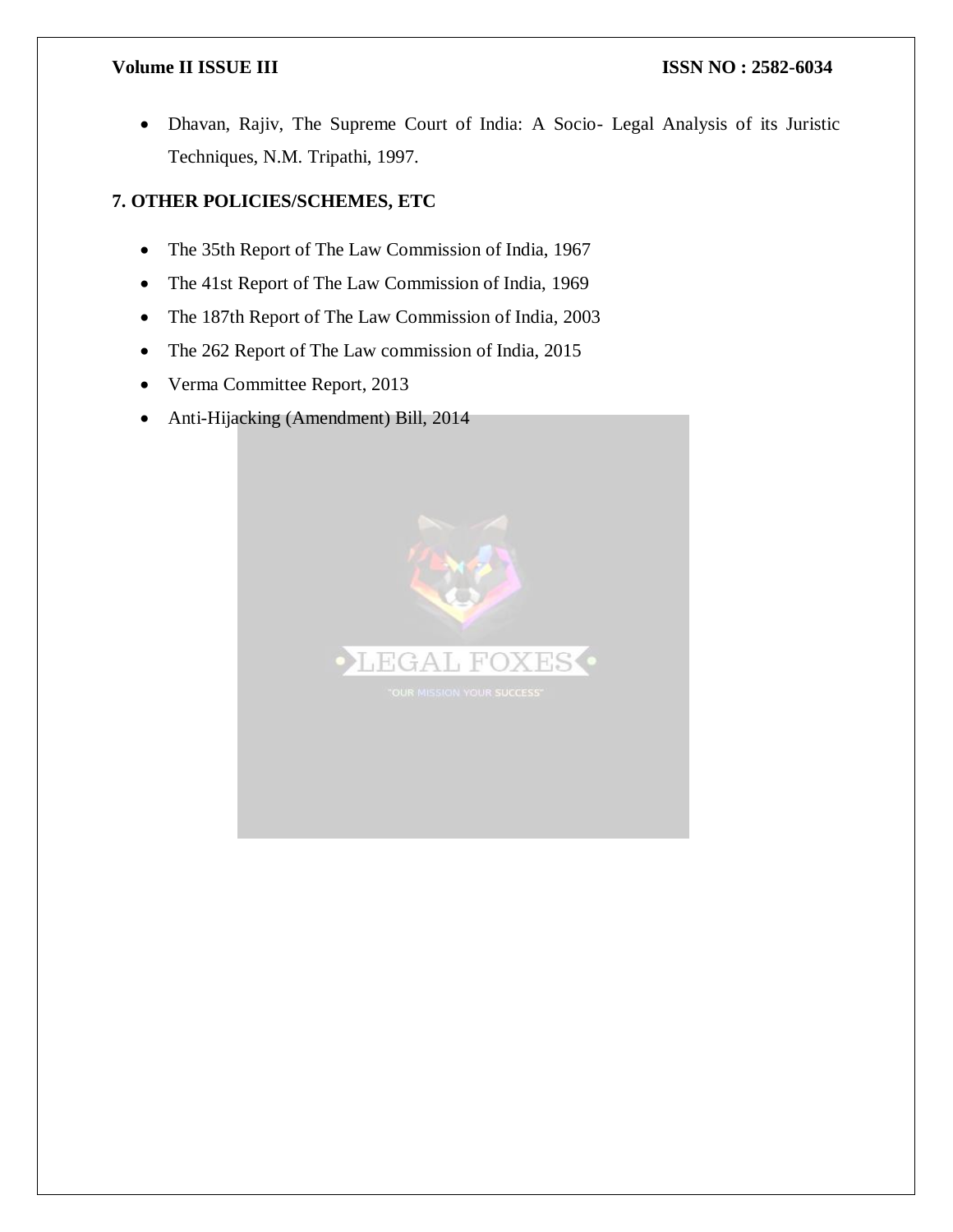Dhavan, Rajiv, The Supreme Court of India: A Socio- Legal Analysis of its Juristic Techniques, N.M. Tripathi, 1997.

# **7. OTHER POLICIES/SCHEMES, ETC**

- The 35th Report of The Law Commission of India, 1967
- The 41st Report of The Law Commission of India, 1969
- The 187th Report of The Law Commission of India, 2003
- The 262 Report of The Law commission of India, 2015
- Verma Committee Report, 2013
- Anti-Hijacking (Amendment) Bill, 2014

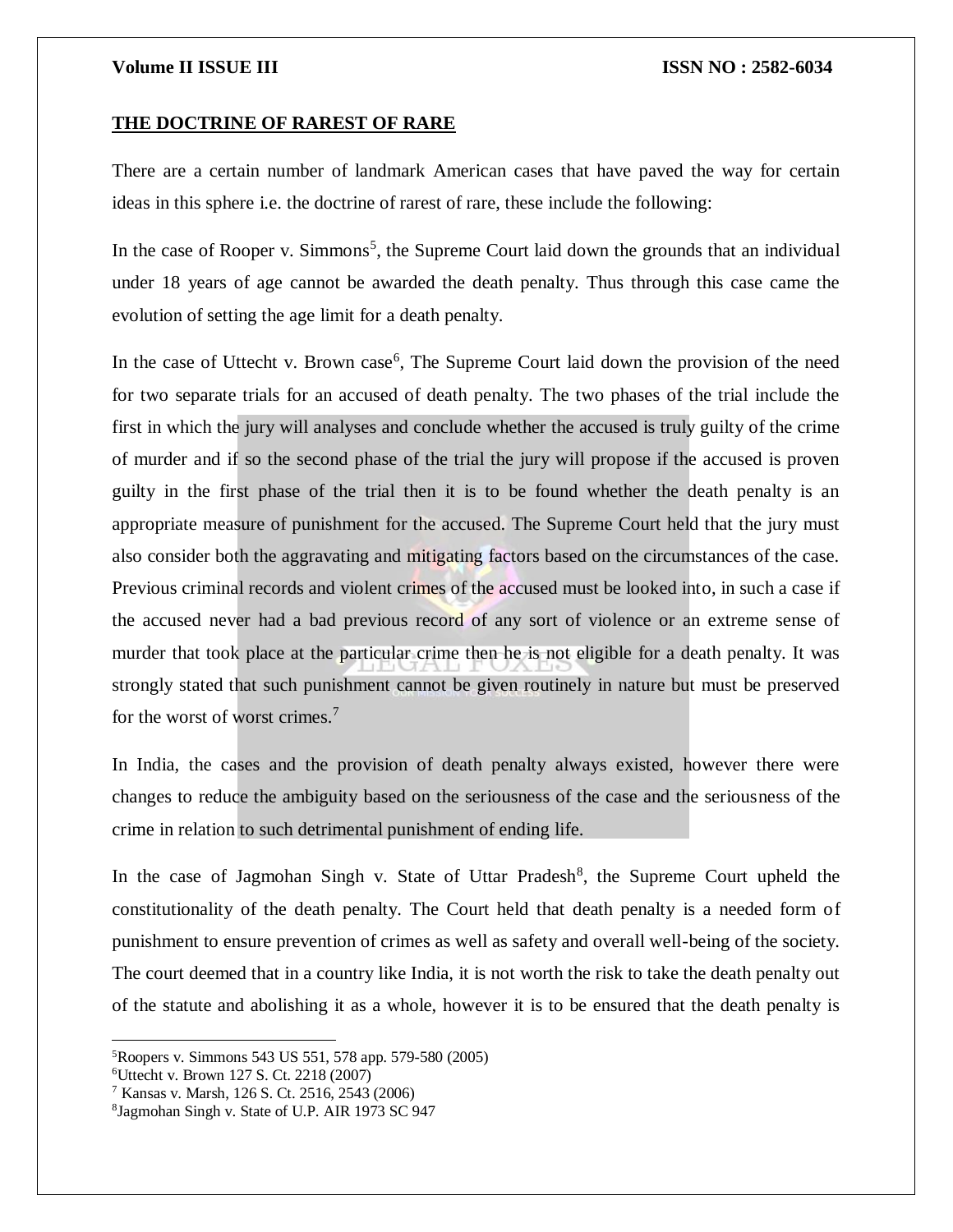### **THE DOCTRINE OF RAREST OF RARE**

There are a certain number of landmark American cases that have paved the way for certain ideas in this sphere i.e. the doctrine of rarest of rare, these include the following:

In the case of Rooper v. Simmons<sup>5</sup>, the Supreme Court laid down the grounds that an individual under 18 years of age cannot be awarded the death penalty. Thus through this case came the evolution of setting the age limit for a death penalty.

In the case of Uttecht v. Brown case<sup>6</sup>, The Supreme Court laid down the provision of the need for two separate trials for an accused of death penalty. The two phases of the trial include the first in which the jury will analyses and conclude whether the accused is truly guilty of the crime of murder and if so the second phase of the trial the jury will propose if the accused is proven guilty in the first phase of the trial then it is to be found whether the death penalty is an appropriate measure of punishment for the accused. The Supreme Court held that the jury must also consider both the aggravating and mitigating factors based on the circumstances of the case. Previous criminal records and violent crimes of the accused must be looked into, in such a case if the accused never had a bad previous record of any sort of violence or an extreme sense of murder that took place at the particular crime then he is not eligible for a death penalty. It was strongly stated that such punishment cannot be given routinely in nature but must be preserved for the worst of worst crimes.<sup>7</sup>

In India, the cases and the provision of death penalty always existed, however there were changes to reduce the ambiguity based on the seriousness of the case and the seriousness of the crime in relation to such detrimental punishment of ending life.

In the case of Jagmohan Singh v. State of Uttar Pradesh<sup>8</sup>, the Supreme Court upheld the constitutionality of the death penalty. The Court held that death penalty is a needed form of punishment to ensure prevention of crimes as well as safety and overall well-being of the society. The court deemed that in a country like India, it is not worth the risk to take the death penalty out of the statute and abolishing it as a whole, however it is to be ensured that the death penalty is

 $\overline{a}$ 

<sup>5</sup>Roopers v. Simmons 543 US 551, 578 app. 579-580 (2005)

<sup>6</sup>Uttecht v. Brown 127 S. Ct. 2218 (2007)

<sup>7</sup> Kansas v. Marsh, 126 S. Ct. 2516, 2543 (2006)

<sup>8</sup> Jagmohan Singh v. State of U.P. AIR 1973 SC 947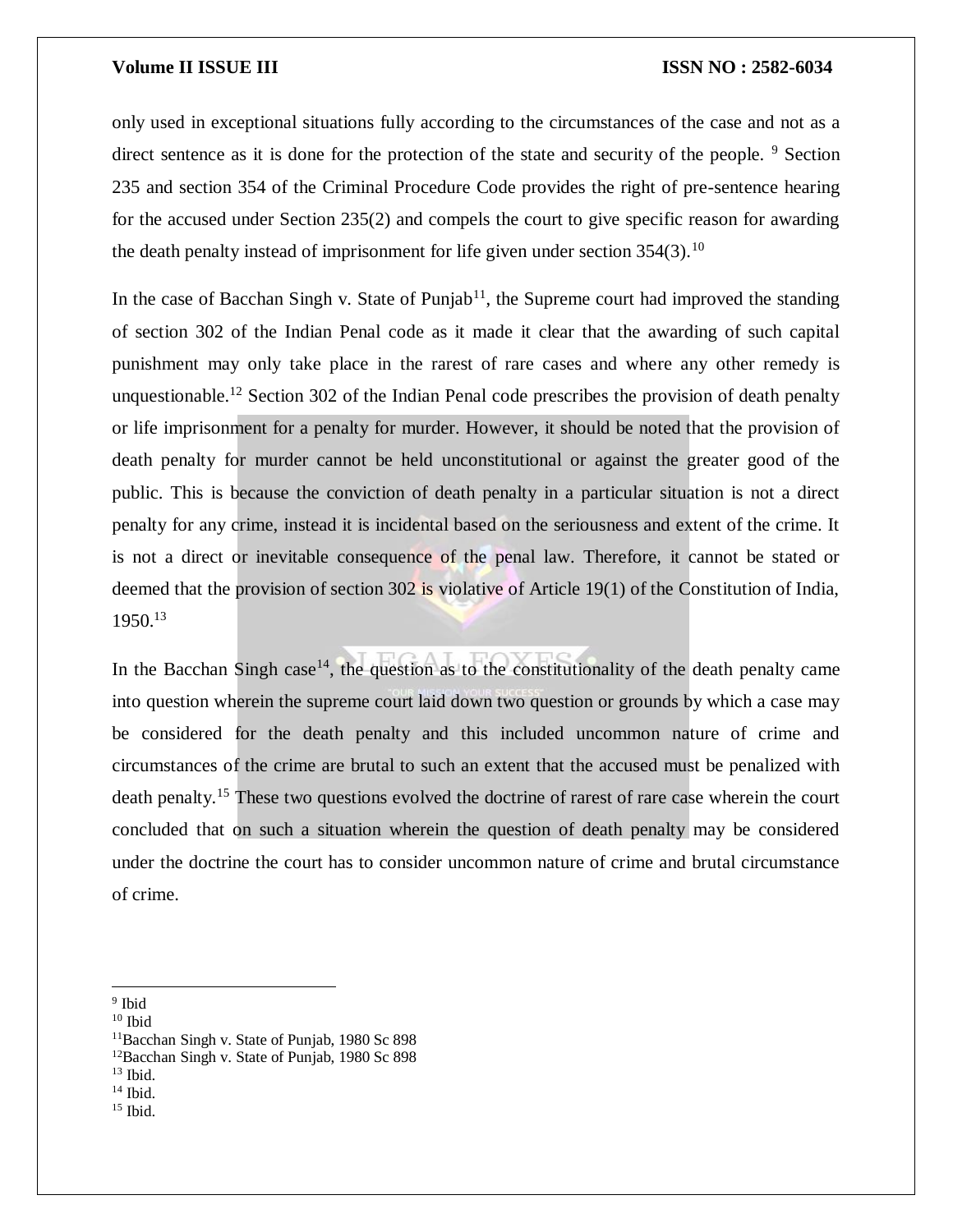only used in exceptional situations fully according to the circumstances of the case and not as a direct sentence as it is done for the protection of the state and security of the people. <sup>9</sup> Section 235 and section 354 of the Criminal Procedure Code provides the right of pre-sentence hearing for the accused under Section 235(2) and compels the court to give specific reason for awarding the death penalty instead of imprisonment for life given under section  $354(3)$ .<sup>10</sup>

In the case of Bacchan Singh v. State of Punjab<sup>11</sup>, the Supreme court had improved the standing of section 302 of the Indian Penal code as it made it clear that the awarding of such capital punishment may only take place in the rarest of rare cases and where any other remedy is unquestionable.<sup>12</sup> Section 302 of the Indian Penal code prescribes the provision of death penalty or life imprisonment for a penalty for murder. However, it should be noted that the provision of death penalty for murder cannot be held unconstitutional or against the greater good of the public. This is because the conviction of death penalty in a particular situation is not a direct penalty for any crime, instead it is incidental based on the seriousness and extent of the crime. It is not a direct or inevitable consequence of the penal law. Therefore, it cannot be stated or deemed that the provision of section 302 is violative of Article 19(1) of the Constitution of India,  $1950.<sup>13</sup>$ 

In the Bacchan Singh case<sup>14</sup>, the question as to the constitutionality of the death penalty came into question wherein the supreme court laid down two question or grounds by which a case may be considered for the death penalty and this included uncommon nature of crime and circumstances of the crime are brutal to such an extent that the accused must be penalized with death penalty.<sup>15</sup> These two questions evolved the doctrine of rarest of rare case wherein the court concluded that on such a situation wherein the question of death penalty may be considered under the doctrine the court has to consider uncommon nature of crime and brutal circumstance of crime.

 $10$  Ibid

- <sup>12</sup>Bacchan Singh v. State of Punjab, 1980 Sc 898
- $13$  Ibid.

<sup>15</sup> Ibid.

<sup>&</sup>lt;sup>9</sup> Ibid

<sup>11</sup>Bacchan Singh v. State of Punjab, 1980 Sc 898

<sup>14</sup> Ibid.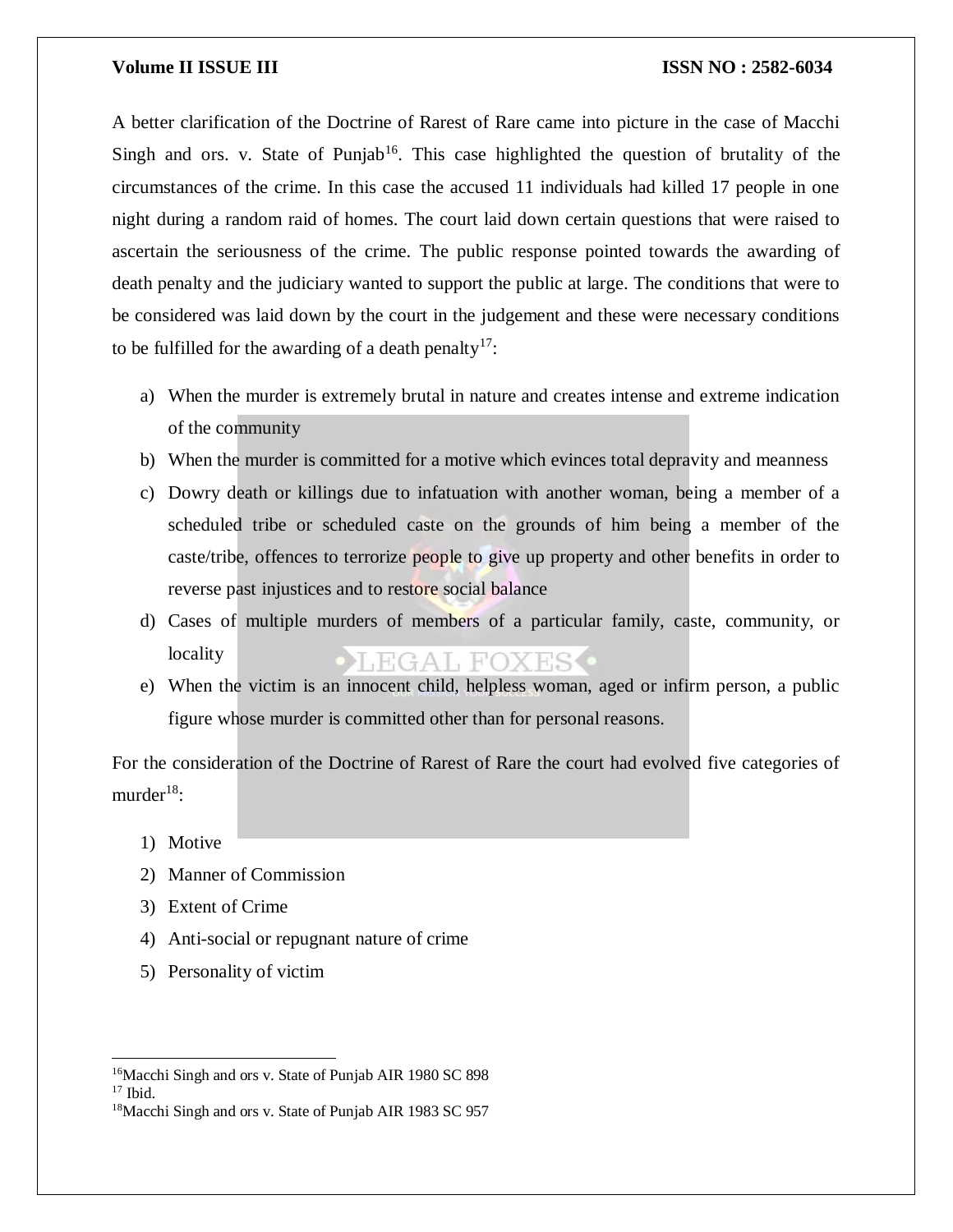A better clarification of the Doctrine of Rarest of Rare came into picture in the case of Macchi Singh and ors. v. State of Punjab<sup>16</sup>. This case highlighted the question of brutality of the circumstances of the crime. In this case the accused 11 individuals had killed 17 people in one night during a random raid of homes. The court laid down certain questions that were raised to ascertain the seriousness of the crime. The public response pointed towards the awarding of death penalty and the judiciary wanted to support the public at large. The conditions that were to be considered was laid down by the court in the judgement and these were necessary conditions to be fulfilled for the awarding of a death penalty<sup>17</sup>:

- a) When the murder is extremely brutal in nature and creates intense and extreme indication of the community
- b) When the murder is committed for a motive which evinces total depravity and meanness
- c) Dowry death or killings due to infatuation with another woman, being a member of a scheduled tribe or scheduled caste on the grounds of him being a member of the caste/tribe, offences to terrorize people to give up property and other benefits in order to reverse past injustices and to restore social balance
- d) Cases of multiple murders of members of a particular family, caste, community, or locality **LEGAL FOXES.**
- e) When the victim is an innocent child, helpless woman, aged or infirm person, a public figure whose murder is committed other than for personal reasons.

For the consideration of the Doctrine of Rarest of Rare the court had evolved five categories of murder $18$ :

- 1) Motive
- 2) Manner of Commission
- 3) Extent of Crime
- 4) Anti-social or repugnant nature of crime
- 5) Personality of victim

 $\overline{a}$ 

<sup>&</sup>lt;sup>16</sup>Macchi Singh and ors v. State of Punjab AIR 1980 SC 898

 $17$  Ibid.

<sup>&</sup>lt;sup>18</sup>Macchi Singh and ors v. State of Punjab AIR 1983 SC 957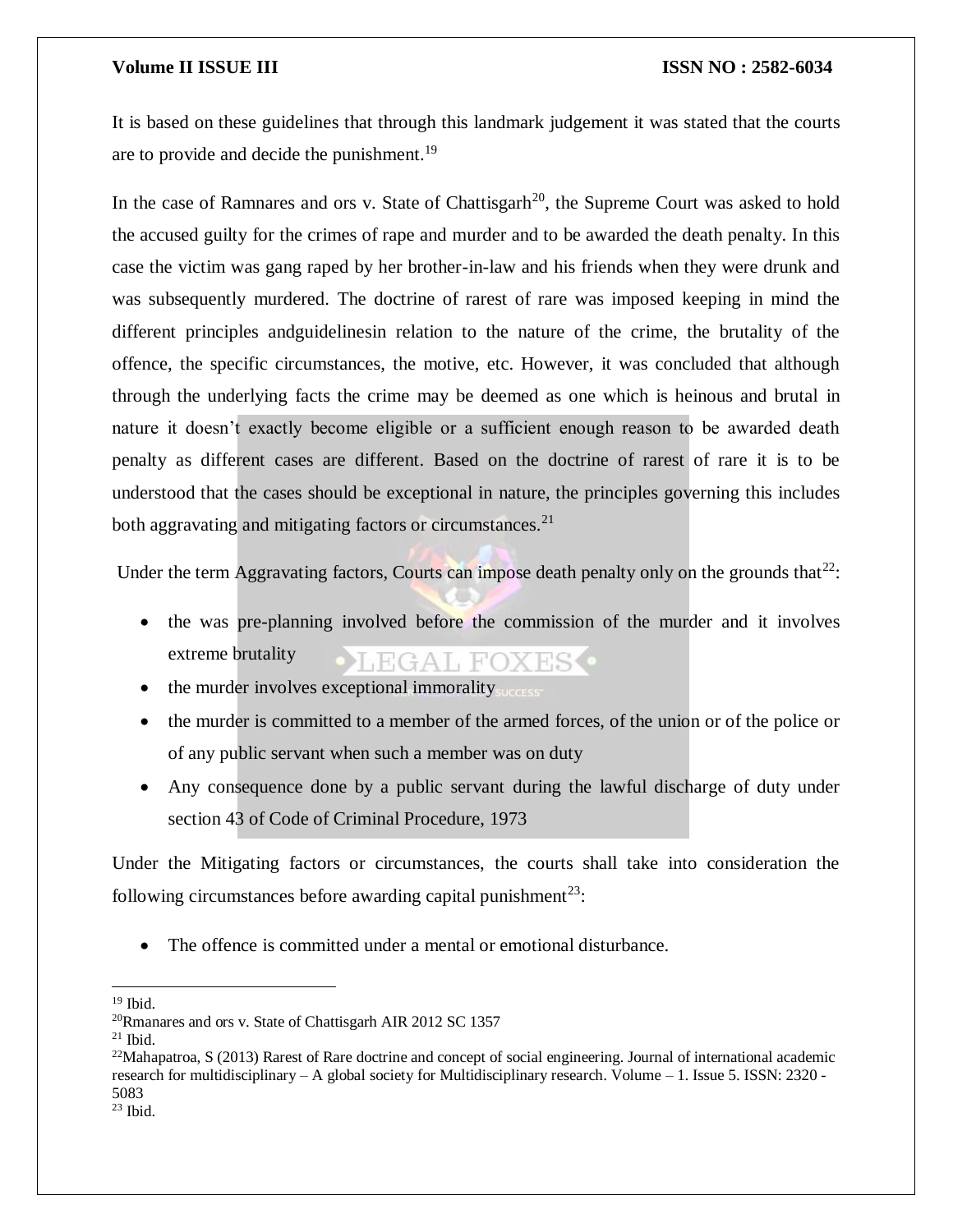It is based on these guidelines that through this landmark judgement it was stated that the courts are to provide and decide the punishment.<sup>19</sup>

In the case of Ramnares and ors v. State of Chattisgarh<sup>20</sup>, the Supreme Court was asked to hold the accused guilty for the crimes of rape and murder and to be awarded the death penalty. In this case the victim was gang raped by her brother-in-law and his friends when they were drunk and was subsequently murdered. The doctrine of rarest of rare was imposed keeping in mind the different principles andguidelinesin relation to the nature of the crime, the brutality of the offence, the specific circumstances, the motive, etc. However, it was concluded that although through the underlying facts the crime may be deemed as one which is heinous and brutal in nature it doesn't exactly become eligible or a sufficient enough reason to be awarded death penalty as different cases are different. Based on the doctrine of rarest of rare it is to be understood that the cases should be exceptional in nature, the principles governing this includes both aggravating and mitigating factors or circumstances. $2<sup>1</sup>$ 

Under the term Aggravating factors, Courts can impose death penalty only on the grounds that $^{22}$ :

- the was pre-planning involved before the commission of the murder and it involves extreme brutality **LEGAL FOXES**
- the murder involves exceptional immorality
- the murder is committed to a member of the armed forces, of the union or of the police or of any public servant when such a member was on duty
- Any consequence done by a public servant during the lawful discharge of duty under section 43 of Code of Criminal Procedure, 1973

Under the Mitigating factors or circumstances, the courts shall take into consideration the following circumstances before awarding capital punishment<sup>23</sup>:

• The offence is committed under a mental or emotional disturbance.

 $\overline{\phantom{a}}$ <sup>19</sup> Ibid.

<sup>20</sup>Rmanares and ors v. State of Chattisgarh AIR 2012 SC 1357

 $21$  Ibid.

 $22$ Mahapatroa, S (2013) Rarest of Rare doctrine and concept of social engineering. Journal of international academic research for multidisciplinary – A global society for Multidisciplinary research. Volume – 1. Issue 5. ISSN: 2320 - 5083

 $23$  Ibid.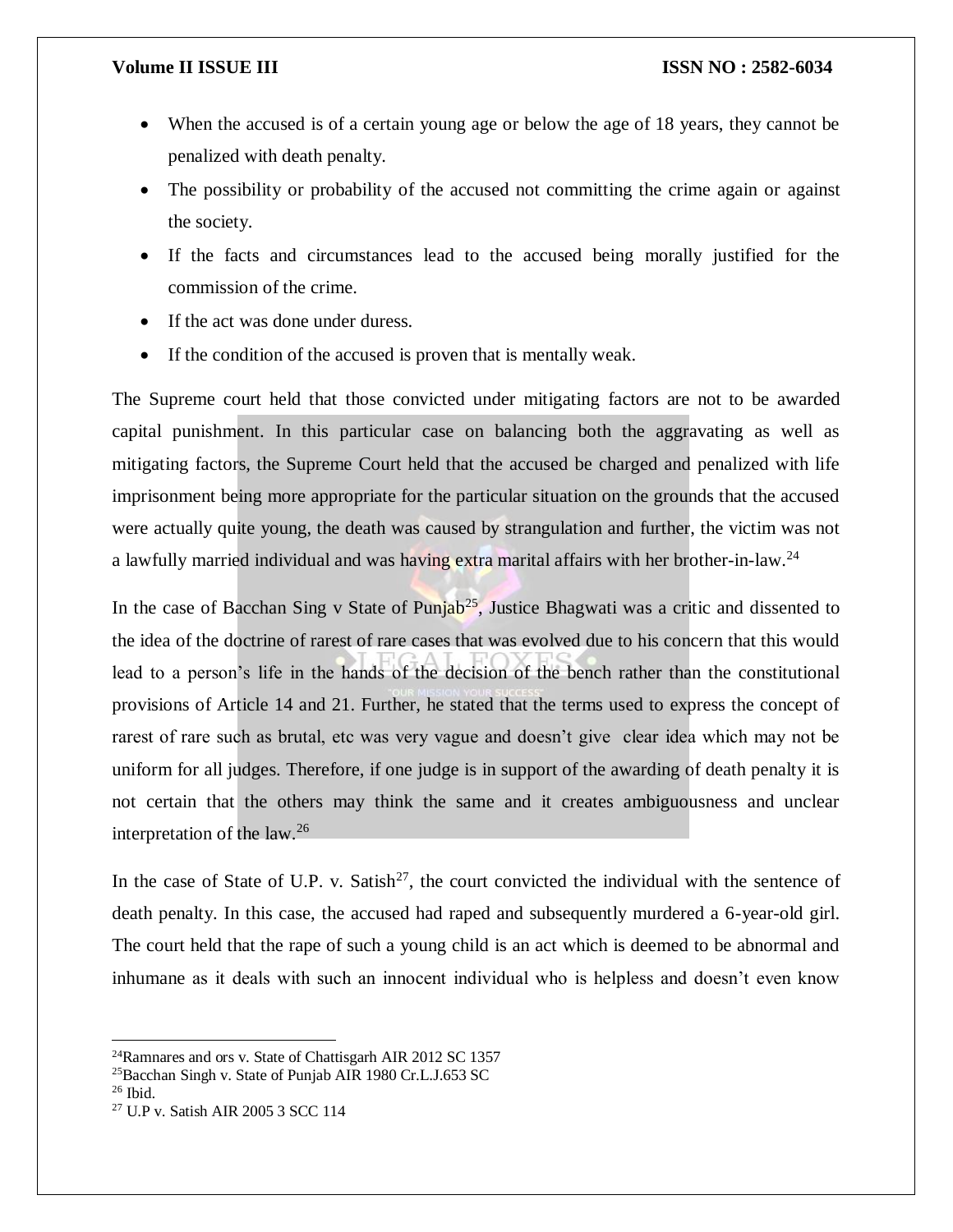- When the accused is of a certain young age or below the age of 18 years, they cannot be penalized with death penalty.
- The possibility or probability of the accused not committing the crime again or against the society.
- If the facts and circumstances lead to the accused being morally justified for the commission of the crime.
- If the act was done under duress.
- If the condition of the accused is proven that is mentally weak.

The Supreme court held that those convicted under mitigating factors are not to be awarded capital punishment. In this particular case on balancing both the aggravating as well as mitigating factors, the Supreme Court held that the accused be charged and penalized with life imprisonment being more appropriate for the particular situation on the grounds that the accused were actually quite young, the death was caused by strangulation and further, the victim was not a lawfully married individual and was having extra marital affairs with her brother-in-law.<sup>24</sup>

In the case of Bacchan Sing v State of Punjab<sup>25</sup>, Justice Bhagwati was a critic and dissented to the idea of the doctrine of rarest of rare cases that was evolved due to his concern that this would lead to a person's life in the hands of the decision of the bench rather than the constitutional provisions of Article 14 and 21. Further, he stated that the terms used to express the concept of rarest of rare such as brutal, etc was very vague and doesn't give clear idea which may not be uniform for all judges. Therefore, if one judge is in support of the awarding of death penalty it is not certain that the others may think the same and it creates ambiguousness and unclear interpretation of the law.<sup>26</sup>

In the case of State of U.P. v. Satish<sup>27</sup>, the court convicted the individual with the sentence of death penalty. In this case, the accused had raped and subsequently murdered a 6-year-old girl. The court held that the rape of such a young child is an act which is deemed to be abnormal and inhumane as it deals with such an innocent individual who is helpless and doesn't even know

 $26$  Ibid.

 $\overline{a}$ 

<sup>24</sup>Ramnares and ors v. State of Chattisgarh AIR 2012 SC 1357

<sup>25</sup>Bacchan Singh v. State of Punjab AIR 1980 Cr.L.J.653 SC

<sup>27</sup> U.P v. Satish AIR 2005 3 SCC 114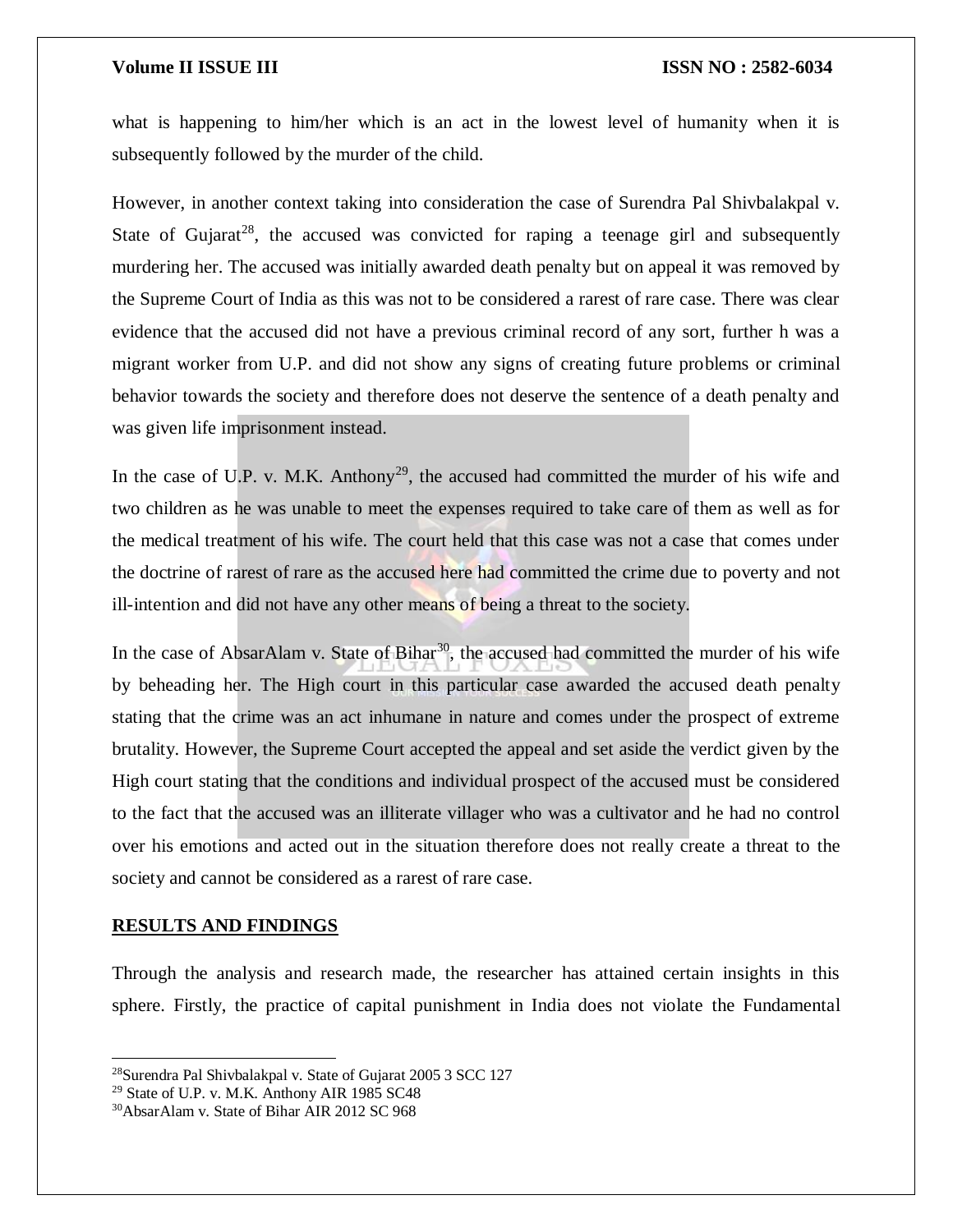what is happening to him/her which is an act in the lowest level of humanity when it is subsequently followed by the murder of the child.

However, in another context taking into consideration the case of Surendra Pal Shivbalakpal v. State of Gujarat<sup>28</sup>, the accused was convicted for raping a teenage girl and subsequently murdering her. The accused was initially awarded death penalty but on appeal it was removed by the Supreme Court of India as this was not to be considered a rarest of rare case. There was clear evidence that the accused did not have a previous criminal record of any sort, further h was a migrant worker from U.P. and did not show any signs of creating future problems or criminal behavior towards the society and therefore does not deserve the sentence of a death penalty and was given life imprisonment instead.

In the case of U.P. v. M.K. Anthony<sup>29</sup>, the accused had committed the murder of his wife and two children as he was unable to meet the expenses required to take care of them as well as for the medical treatment of his wife. The court held that this case was not a case that comes under the doctrine of rarest of rare as the accused here had committed the crime due to poverty and not ill-intention and did not have any other means of being a threat to the society.

In the case of AbsarAlam v. State of Bihar<sup>30</sup>, the accused had committed the murder of his wife by beheading her. The High court in this particular case awarded the accused death penalty stating that the crime was an act inhumane in nature and comes under the prospect of extreme brutality. However, the Supreme Court accepted the appeal and set aside the verdict given by the High court stating that the conditions and individual prospect of the accused must be considered to the fact that the accused was an illiterate villager who was a cultivator and he had no control over his emotions and acted out in the situation therefore does not really create a threat to the society and cannot be considered as a rarest of rare case.

### **RESULTS AND FINDINGS**

 $\overline{a}$ 

Through the analysis and research made, the researcher has attained certain insights in this sphere. Firstly, the practice of capital punishment in India does not violate the Fundamental

<sup>28</sup>Surendra Pal Shivbalakpal v. State of Gujarat 2005 3 SCC 127

<sup>29</sup> State of U.P. v. M.K. Anthony AIR 1985 SC48

<sup>30</sup>AbsarAlam v. State of Bihar AIR 2012 SC 968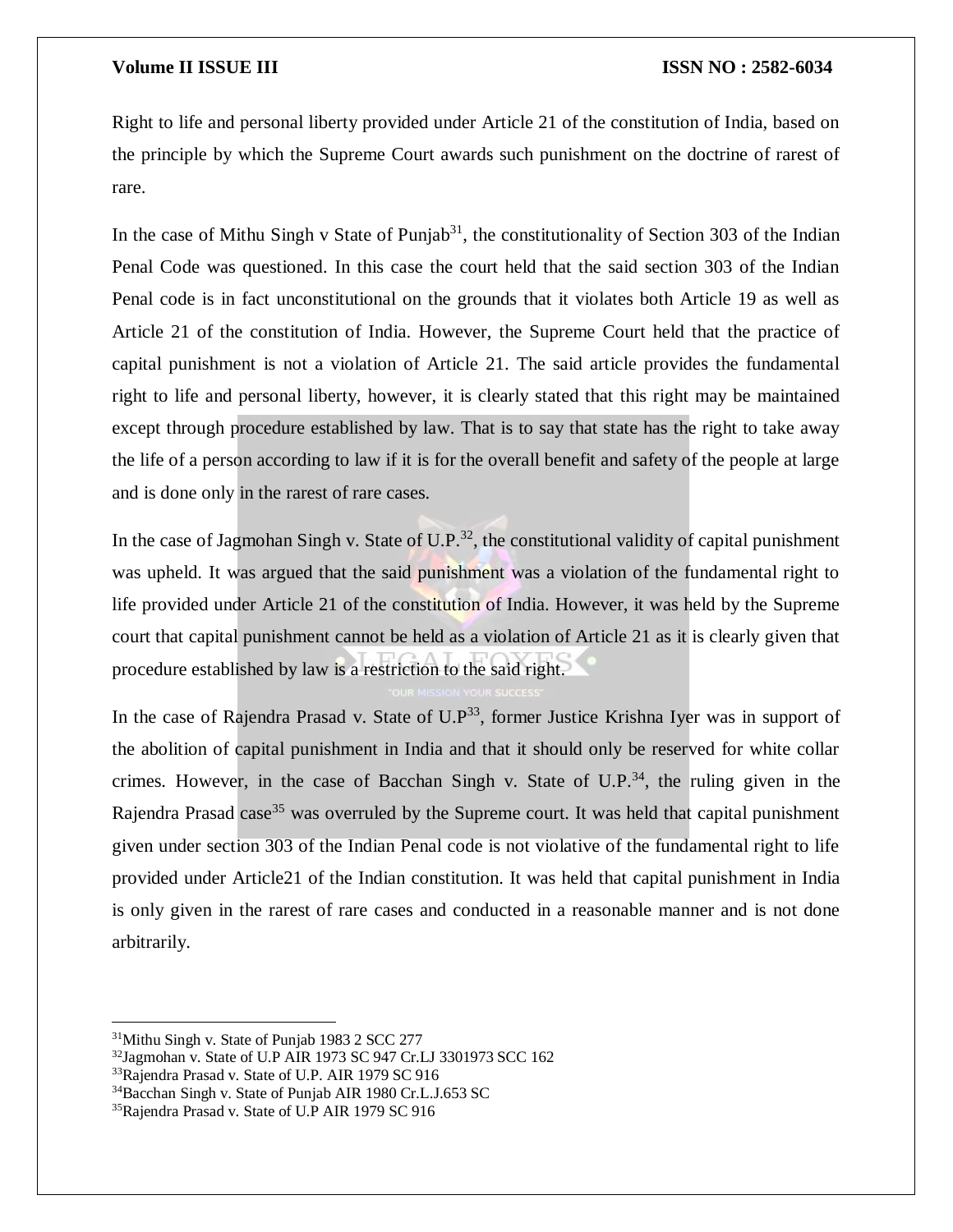Right to life and personal liberty provided under Article 21 of the constitution of India, based on the principle by which the Supreme Court awards such punishment on the doctrine of rarest of rare.

In the case of Mithu Singh v State of Punjab<sup>31</sup>, the constitutionality of Section 303 of the Indian Penal Code was questioned. In this case the court held that the said section 303 of the Indian Penal code is in fact unconstitutional on the grounds that it violates both Article 19 as well as Article 21 of the constitution of India. However, the Supreme Court held that the practice of capital punishment is not a violation of Article 21. The said article provides the fundamental right to life and personal liberty, however, it is clearly stated that this right may be maintained except through procedure established by law. That is to say that state has the right to take away the life of a person according to law if it is for the overall benefit and safety of the people at large and is done only in the rarest of rare cases.

In the case of Jagmohan Singh v. State of U.P.<sup>32</sup>, the constitutional validity of capital punishment was upheld. It was argued that the said punishment was a violation of the fundamental right to life provided under Article 21 of the constitution of India. However, it was held by the Supreme court that capital punishment cannot be held as a violation of Article 21 as it is clearly given that procedure established by law is a restriction to the said right.

In the case of Rajendra Prasad v. State of  $U.P^{33}$ , former Justice Krishna Iyer was in support of the abolition of capital punishment in India and that it should only be reserved for white collar crimes. However, in the case of Bacchan Singh v. State of  $U.P.^{34}$ , the ruling given in the Rajendra Prasad case<sup>35</sup> was overruled by the Supreme court. It was held that capital punishment given under section 303 of the Indian Penal code is not violative of the fundamental right to life provided under Article21 of the Indian constitution. It was held that capital punishment in India is only given in the rarest of rare cases and conducted in a reasonable manner and is not done arbitrarily.

<sup>&</sup>lt;sup>31</sup>Mithu Singh v. State of Punjab 1983 2 SCC 277

<sup>32</sup>Jagmohan v. State of U.P AIR 1973 SC 947 Cr.LJ 3301973 SCC 162

<sup>&</sup>lt;sup>33</sup>Rajendra Prasad v. State of U.P. AIR 1979 SC 916

<sup>34</sup>Bacchan Singh v. State of Punjab AIR 1980 Cr.L.J.653 SC

<sup>35</sup>Rajendra Prasad v. State of U.P AIR 1979 SC 916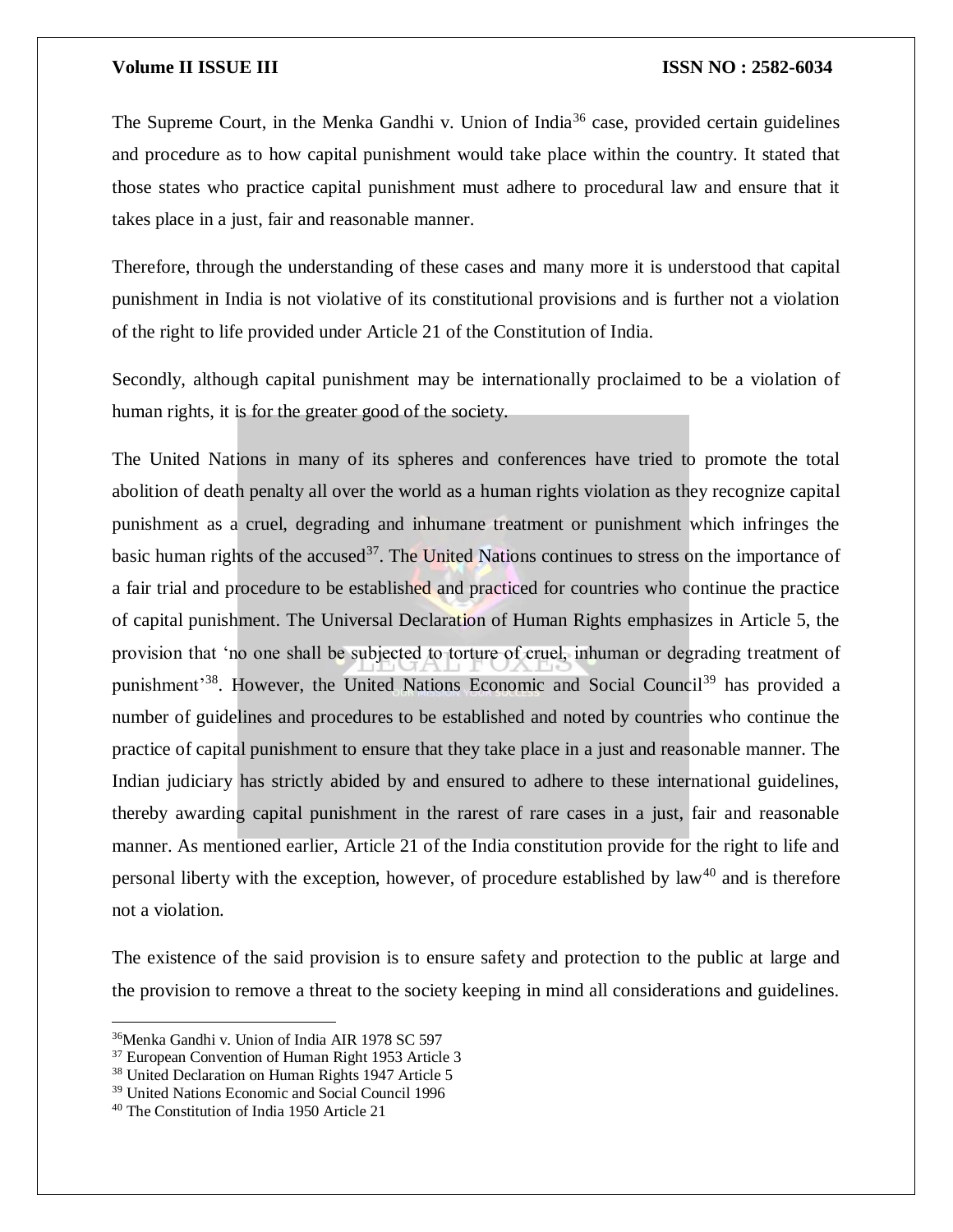The Supreme Court, in the Menka Gandhi v. Union of India<sup>36</sup> case, provided certain guidelines and procedure as to how capital punishment would take place within the country. It stated that those states who practice capital punishment must adhere to procedural law and ensure that it takes place in a just, fair and reasonable manner.

Therefore, through the understanding of these cases and many more it is understood that capital punishment in India is not violative of its constitutional provisions and is further not a violation of the right to life provided under Article 21 of the Constitution of India.

Secondly, although capital punishment may be internationally proclaimed to be a violation of human rights, it is for the greater good of the society.

The United Nations in many of its spheres and conferences have tried to promote the total abolition of death penalty all over the world as a human rights violation as they recognize capital punishment as a cruel, degrading and inhumane treatment or punishment which infringes the basic human rights of the accused<sup>37</sup>. The United Nations continues to stress on the importance of a fair trial and procedure to be established and practiced for countries who continue the practice of capital punishment. The Universal Declaration of Human Rights emphasizes in Article 5, the provision that 'no one shall be subjected to torture of cruel, inhuman or degrading treatment of punishment<sup>'38</sup>. However, the United Nations Economic and Social Council<sup>39</sup> has provided a number of guidelines and procedures to be established and noted by countries who continue the practice of capital punishment to ensure that they take place in a just and reasonable manner. The Indian judiciary has strictly abided by and ensured to adhere to these international guidelines, thereby awarding capital punishment in the rarest of rare cases in a just, fair and reasonable manner. As mentioned earlier, Article 21 of the India constitution provide for the right to life and personal liberty with the exception, however, of procedure established by law<sup>40</sup> and is therefore not a violation.

The existence of the said provision is to ensure safety and protection to the public at large and the provision to remove a threat to the society keeping in mind all considerations and guidelines.

<sup>36</sup>Menka Gandhi v. Union of India AIR 1978 SC 597

<sup>37</sup> European Convention of Human Right 1953 Article 3

<sup>38</sup> United Declaration on Human Rights 1947 Article 5

<sup>39</sup> United Nations Economic and Social Council 1996

<sup>40</sup> The Constitution of India 1950 Article 21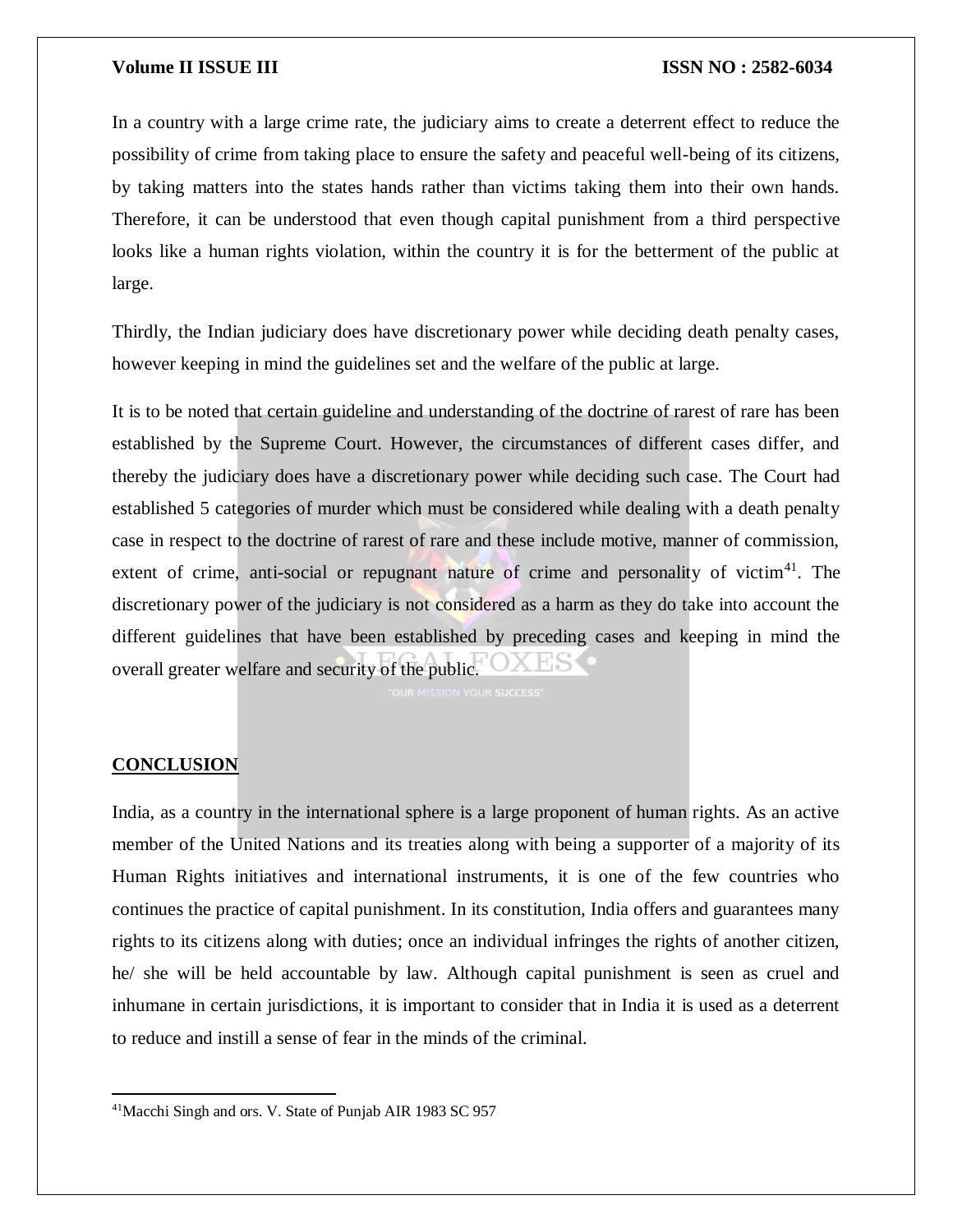In a country with a large crime rate, the judiciary aims to create a deterrent effect to reduce the possibility of crime from taking place to ensure the safety and peaceful well-being of its citizens, by taking matters into the states hands rather than victims taking them into their own hands. Therefore, it can be understood that even though capital punishment from a third perspective looks like a human rights violation, within the country it is for the betterment of the public at large.

Thirdly, the Indian judiciary does have discretionary power while deciding death penalty cases, however keeping in mind the guidelines set and the welfare of the public at large.

It is to be noted that certain guideline and understanding of the doctrine of rarest of rare has been established by the Supreme Court. However, the circumstances of different cases differ, and thereby the judiciary does have a discretionary power while deciding such case. The Court had established 5 categories of murder which must be considered while dealing with a death penalty case in respect to the doctrine of rarest of rare and these include motive, manner of commission, extent of crime, anti-social or repugnant nature of crime and personality of victim $4^1$ . The discretionary power of the judiciary is not considered as a harm as they do take into account the different guidelines that have been established by preceding cases and keeping in mind the overall greater welfare and security of the public.

# **CONCLUSION**

 $\overline{a}$ 

India, as a country in the international sphere is a large proponent of human rights. As an active member of the United Nations and its treaties along with being a supporter of a majority of its Human Rights initiatives and international instruments, it is one of the few countries who continues the practice of capital punishment. In its constitution, India offers and guarantees many rights to its citizens along with duties; once an individual infringes the rights of another citizen, he/ she will be held accountable by law. Although capital punishment is seen as cruel and inhumane in certain jurisdictions, it is important to consider that in India it is used as a deterrent to reduce and instill a sense of fear in the minds of the criminal.

<sup>41</sup>Macchi Singh and ors. V. State of Punjab AIR 1983 SC 957